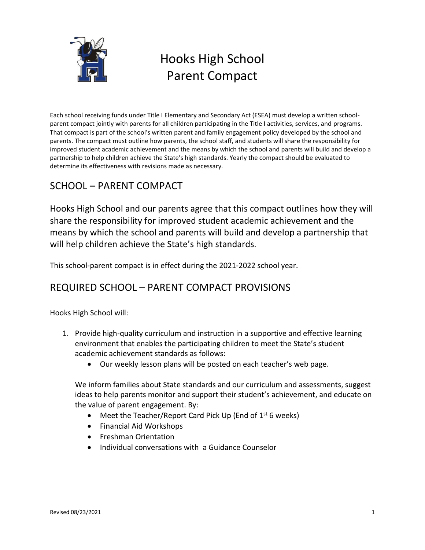

# Hooks High School Parent Compact

Each school receiving funds under Title I Elementary and Secondary Act (ESEA) must develop a written schoolparent compact jointly with parents for all children participating in the Title I activities, services, and programs. That compact is part of the school's written parent and family engagement policy developed by the school and parents. The compact must outline how parents, the school staff, and students will share the responsibility for improved student academic achievement and the means by which the school and parents will build and develop a partnership to help children achieve the State's high standards. Yearly the compact should be evaluated to determine its effectiveness with revisions made as necessary.

## SCHOOL – PARENT COMPACT

Hooks High School and our parents agree that this compact outlines how they will share the responsibility for improved student academic achievement and the means by which the school and parents will build and develop a partnership that will help children achieve the State's high standards.

This school-parent compact is in effect during the 2021-2022 school year.

### REQUIRED SCHOOL – PARENT COMPACT PROVISIONS

Hooks High School will:

- 1. Provide high-quality curriculum and instruction in a supportive and effective learning environment that enables the participating children to meet the State's student academic achievement standards as follows:
	- Our weekly lesson plans will be posted on each teacher's web page.

We inform families about State standards and our curriculum and assessments, suggest ideas to help parents monitor and support their student's achievement, and educate on the value of parent engagement. By:

- Meet the Teacher/Report Card Pick Up (End of  $1<sup>st</sup>$  6 weeks)
- Financial Aid Workshops
- **•** Freshman Orientation
- Individual conversations with a Guidance Counselor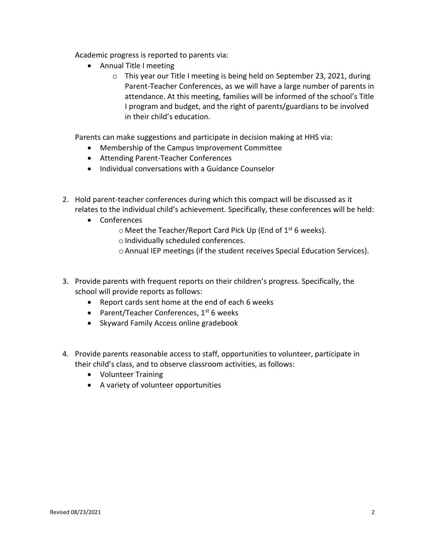Academic progress is reported to parents via:

- Annual Title I meeting
	- o This year our Title I meeting is being held on September 23, 2021, during Parent-Teacher Conferences, as we will have a large number of parents in attendance. At this meeting, families will be informed of the school's Title I program and budget, and the right of parents/guardians to be involved in their child's education.

Parents can make suggestions and participate in decision making at HHS via:

- Membership of the Campus Improvement Committee
- Attending Parent-Teacher Conferences
- Individual conversations with a Guidance Counselor
- 2. Hold parent-teacher conferences during which this compact will be discussed as it relates to the individual child's achievement. Specifically, these conferences will be held:
	- Conferences
		- $\circ$  Meet the Teacher/Report Card Pick Up (End of 1<sup>st</sup> 6 weeks).
		- o Individually scheduled conferences.
		- oAnnual IEP meetings (if the student receives Special Education Services).
- 3. Provide parents with frequent reports on their children's progress. Specifically, the school will provide reports as follows:
	- Report cards sent home at the end of each 6 weeks
	- Parent/Teacher Conferences,  $1^{st}$  6 weeks
	- Skyward Family Access online gradebook
- 4. Provide parents reasonable access to staff, opportunities to volunteer, participate in their child's class, and to observe classroom activities, as follows:
	- Volunteer Training
	- A variety of volunteer opportunities